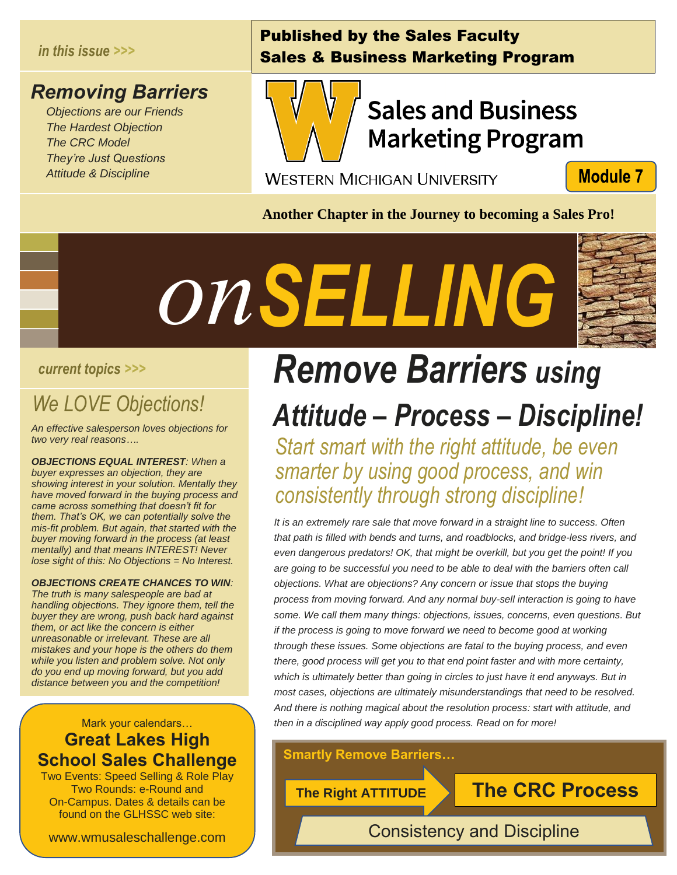#### *in this issue >>>*

## *Removing Barriers*

 *Objections are our Friends The Hardest Objection The CRC Model They're Just Questions Attitude & Discipline*

## Published by the Sales Faculty Sales & Business Marketing Program



# **Sales and Business Marketing Program**

**WESTERN MICHIGAN UNIVERSITY** 

**Module 7** 

**Another Chapter in the Journey to becoming a Sales Pro!**





## *We LOVE Objections!*

*An effective salesperson loves objections for two very real reasons…. <u>Ctions!</u>*<br>es objections for

*OBJECTIONS EQUAL INTEREST: When a buyer expresses an objection, they are showing interest in your solution. Mentally they have moved forward in the buying process and came across something that doesn't fit for them. That's OK, we can potentially solve the mis-fit problem. But again, that started with the buyer moving forward in the process (at least mentally) and that means INTEREST! Never lose sight of this: No Objections = No Interest.*

*OBJECTIONS CREATE CHANCES TO WIN: The truth is many salespeople are bad at handling objections. They ignore them, tell the buyer they are wrong, push back hard against them, or act like the concern is either unreasonable or irrelevant. These are all mistakes and your hope is the others do them while you listen and problem solve. Not only do you end up moving forward, but you add distance between you and the competition!*

## Mark your calendars… **Great Lakes High School Sales Challenge**

Two Events: Speed Selling & Role Play Two Rounds: e-Round and On-Campus. Dates & details can be found on the GLHSSC web site:

www.wmusaleschallenge.com

# *Remove Barriers using Attitude – Process – Discipline!*

*Start smart with the right attitude, be even smarter by using good process, and win consistently through strong discipline!*

*It is an extremely rare sale that move forward in a straight line to success. Often that path is filled with bends and turns, and roadblocks, and bridge-less rivers, and even dangerous predators! OK, that might be overkill, but you get the point! If you are going to be successful you need to be able to deal with the barriers often call objections. What are objections? Any concern or issue that stops the buying process from moving forward. And any normal buy-sell interaction is going to have some. We call them many things: objections, issues, concerns, even questions. But if the process is going to move forward we need to become good at working through these issues. Some objections are fatal to the buying process, and even there, good process will get you to that end point faster and with more certainty,*  which is ultimately better than going in circles to just have it end anyways. But in *most cases, objections are ultimately misunderstandings that need to be resolved. And there is nothing magical about the resolution process: start with attitude, and then in a disciplined way apply good process. Read on for more!*

**Smartly Remove Barriers…**

**The Right ATTITUDE The CRC Process**

Consistency and Discipline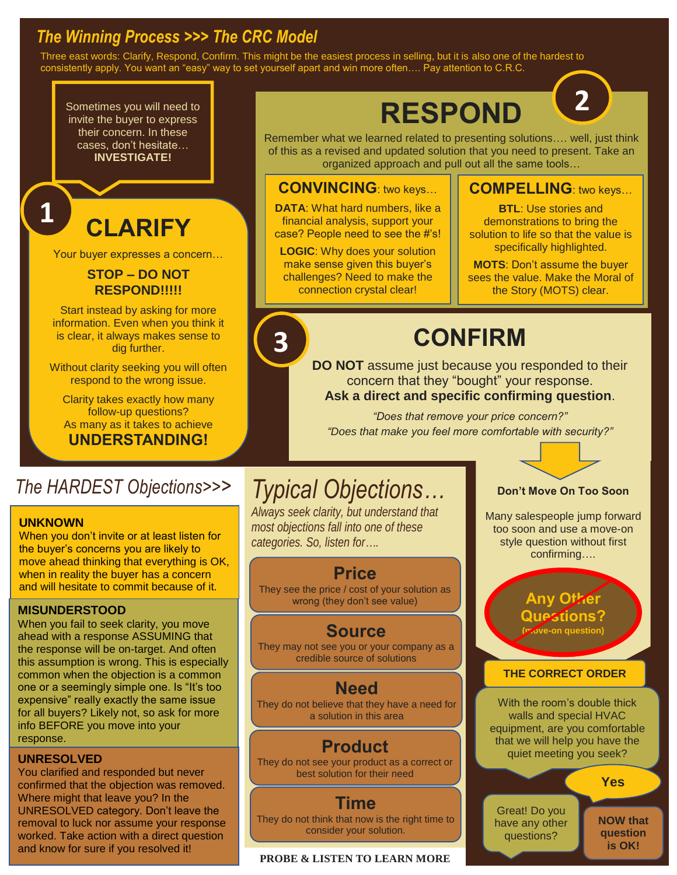## *The Winning Process >>> The CRC Model*

Three east words: Clarify, Respond, Confirm. This might be the easiest process in selling, but it is also one of the hardest to consistently apply. You want an "easy" way to set yourself apart and win more often…. Pay attention to C.R.C.

**3**

Sometimes you will need to invite the buyer to express their concern. In these cases, don't hesitate… **INVESTIGATE!**

# **CLARIFY**

Your buyer expresses a concern…

#### **STOP – DO NOT RESPOND!!!!!**

Start instead by asking for more information. Even when you think it is clear, it always makes sense to dig further.

Without clarity seeking you will often respond to the wrong issue.

Clarity takes exactly how many follow-up questions? As many as it takes to achieve **UNDERSTANDING!**

# **RESPOND**



### **CONVINCING**: two keys…

**DATA**: What hard numbers, like a financial analysis, support your case? People need to see the #'s!

**LOGIC**: Why does your solution make sense given this buyer's challenges? Need to make the connection crystal clear!

## **COMPELLING**: two keys…

**2**

**BTL**: Use stories and demonstrations to bring the solution to life so that the value is specifically highlighted.

**MOTS**: Don't assume the buyer sees the value. Make the Moral of the Story (MOTS) clear.

# **CONFIRM**

**DO NOT** assume just because you responded to their concern that they "bought" your response. **Ask a direct and specific confirming question**.

*"Does that remove your price concern?" "Does that make you feel more comfortable with security?"*

## *The HARDEST Objections>>> Typical Objections…*

#### **UNKNOWN**

**1**

When you don't invite or at least listen for the buyer's concerns you are likely to move ahead thinking that everything is OK, when in reality the buyer has a concern and will hesitate to commit because of it.

#### **MISUNDERSTOOD**

When you fail to seek clarity, you move ahead with a response ASSUMING that the response will be on-target. And often this assumption is wrong. This is especially common when the objection is a common one or a seemingly simple one. Is "It's too expensive" really exactly the same issue for all buyers? Likely not, so ask for more info BEFORE you move into your response.

#### **UNRESOLVED**

You clarified and responded but never confirmed that the objection was removed. Where might that leave you? In the UNRESOLVED category. Don't leave the removal to luck nor assume your response worked. Take action with a direct question and know for sure if you resolved it!

*Always seek clarity, but understand that most objections fall into one of these categories. So, listen for….*

## **Price**

They see the price / cost of your solution as wrong (they don't see value)

## **Source**

They may not see you or your company as a credible source of solutions

## **Need**

They do not believe that they have a need for a solution in this area

## **Product**

They do not see your product as a correct or best solution for their need

#### **Time**

They do not think that now is the right time to consider your solution.

#### **PROBE & LISTEN TO LEARN MORE**



Many salespeople jump forward too soon and use a move-on style question without first confirming….

#### **Any Other Questions? (move-on question)**

#### **THE CORRECT ORDER**

With the room's double thick walls and special HVAC equipment, are you comfortable that we will help you have the quiet meeting you seek?

**Yes**

**NOW that question is OK!**

Great! Do you have any other questions?